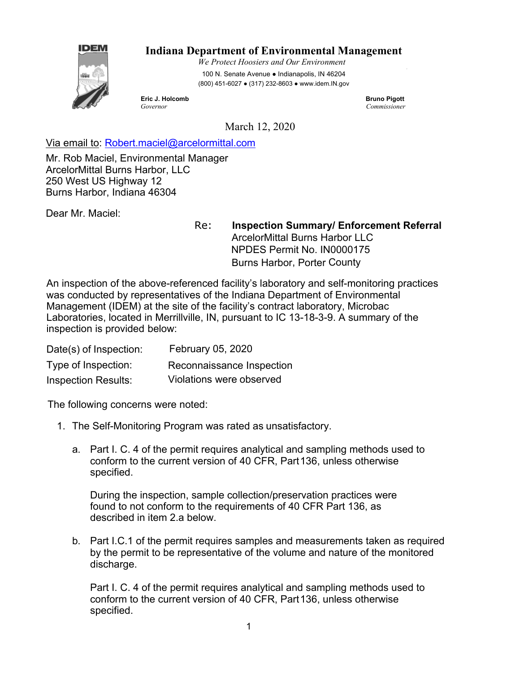

# **Indiana Department of Environmental Management**

*We Protect Hoosiers and Our Environment*  100 N. Senate Avenue ● Indianapolis, IN 46204 (800) 451-6027 ● (317) 232-8603 ● www.idem.IN.gov

**Eric J. Holcomb Bruno Pigott Bruno Pigott Bruno Pigott Bruno Pigott Bruno Pigott** *Governor Commissioner* 

March 12, 2020

Via email to: Robert.maciel@arcelormittal.com

Mr. Rob Maciel, Environmental Manager ArcelorMittal Burns Harbor, LLC 250 West US Highway 12 Burns Harbor, Indiana 46304

Dear Mr. Maciel:

Re: **Inspection Summary/ Enforcement Referral**  ArcelorMittal Burns Harbor LLC NPDES Permit No. IN0000175 Burns Harbor, Porter County

An inspection of the above-referenced facility's laboratory and self-monitoring practices was conducted by representatives of the Indiana Department of Environmental Management (IDEM) at the site of the facility's contract laboratory, Microbac Laboratories, located in Merrillville, IN, pursuant to IC 13-18-3-9. A summary of the inspection is provided below:

| Date(s) of Inspection:     | February 05, 2020         |
|----------------------------|---------------------------|
| Type of Inspection:        | Reconnaissance Inspection |
| <b>Inspection Results:</b> | Violations were observed  |

The following concerns were noted:

- 1. The Self-Monitoring Program was rated as unsatisfactory.
	- a. Part I. C. 4 of the permit requires analytical and sampling methods used to conform to the current version of 40 CFR, Part 136, unless otherwise specified.

 During the inspection, sample collection/preservation practices were found to not conform to the requirements of 40 CFR Part 136, as described in item 2.a below.

b. Part I.C.1 of the permit requires samples and measurements taken as required by the permit to be representative of the volume and nature of the monitored discharge.

 Part I. C. 4 of the permit requires analytical and sampling methods used to conform to the current version of 40 CFR, Part 136, unless otherwise specified.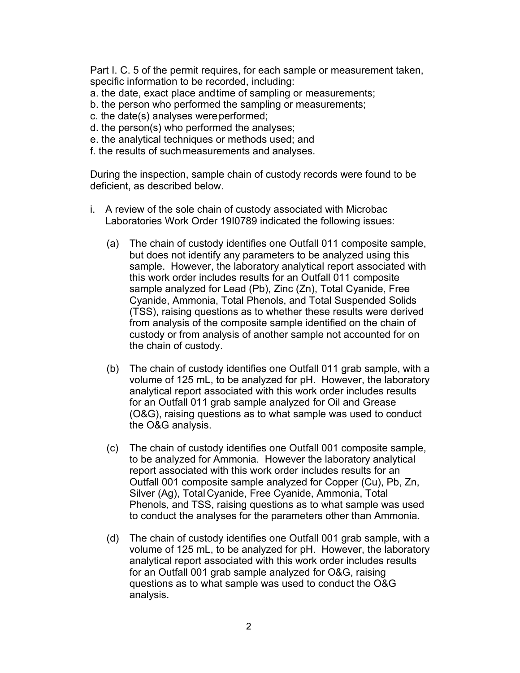Part I. C. 5 of the permit requires, for each sample or measurement taken, specific information to be recorded, including:

- a. the date, exact place and time of sampling or measurements;
- b. the person who performed the sampling or measurements;
- c. the date(s) analyses were performed;
- d. the person(s) who performed the analyses;
- e. the analytical techniques or methods used; and
- f. the results of such measurements and analyses.

During the inspection, sample chain of custody records were found to be deficient, as described below.

- i. A review of the sole chain of custody associated with Microbac Laboratories Work Order 19I0789 indicated the following issues:
	- (a) The chain of custody identifies one Outfall 011 composite sample, but does not identify any parameters to be analyzed using this sample. However, the laboratory analytical report associated with this work order includes results for an Outfall 011 composite sample analyzed for Lead (Pb), Zinc (Zn), Total Cyanide, Free Cyanide, Ammonia, Total Phenols, and Total Suspended Solids (TSS), raising questions as to whether these results were derived from analysis of the composite sample identified on the chain of custody or from analysis of another sample not accounted for on the chain of custody.
	- (b) The chain of custody identifies one Outfall 011 grab sample, with a volume of 125 mL, to be analyzed for pH. However, the laboratory analytical report associated with this work order includes results for an Outfall 011 grab sample analyzed for Oil and Grease (O&G), raising questions as to what sample was used to conduct the O&G analysis.
	- (c) The chain of custody identifies one Outfall 001 composite sample, to be analyzed for Ammonia. However the laboratory analytical report associated with this work order includes results for an Outfall 001 composite sample analyzed for Copper (Cu), Pb, Zn, Silver (Ag), Total Cyanide, Free Cyanide, Ammonia, Total Phenols, and TSS, raising questions as to what sample was used to conduct the analyses for the parameters other than Ammonia.
	- (d) The chain of custody identifies one Outfall 001 grab sample, with a volume of 125 mL, to be analyzed for pH. However, the laboratory analytical report associated with this work order includes results for an Outfall 001 grab sample analyzed for O&G, raising questions as to what sample was used to conduct the O&G analysis.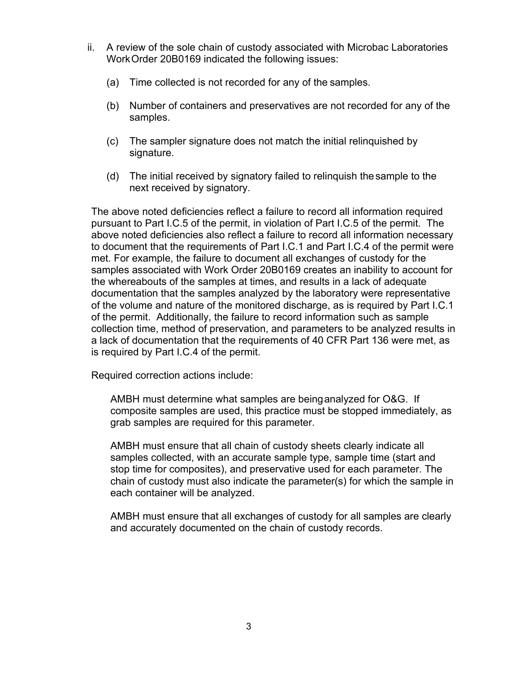- ii. A review of the sole chain of custody associated with Microbac Laboratories Work Order 20B0169 indicated the following issues:
	- (a) Time collected is not recorded for any of the samples.
	- (b) Number of containers and preservatives are not recorded for any of the samples.
	- (c) The sampler signature does not match the initial relinquished by signature.
	- (d) The initial received by signatory failed to relinquish the sample to the next received by signatory.

The above noted deficiencies reflect a failure to record all information required pursuant to Part I.C.5 of the permit, in violation of Part I.C.5 of the permit. The above noted deficiencies also reflect a failure to record all information necessary to document that the requirements of Part I.C.1 and Part I.C.4 of the permit were met. For example, the failure to document all exchanges of custody for the samples associated with Work Order 20B0169 creates an inability to account for the whereabouts of the samples at times, and results in a lack of adequate documentation that the samples analyzed by the laboratory were representative of the volume and nature of the monitored discharge, as is required by Part I.C.1 of the permit. Additionally, the failure to record information such as sample collection time, method of preservation, and parameters to be analyzed results in a lack of documentation that the requirements of 40 CFR Part 136 were met, as is required by Part I.C.4 of the permit.

Required correction actions include:

AMBH must determine what samples are being analyzed for O&G. If composite samples are used, this practice must be stopped immediately, as grab samples are required for this parameter.

AMBH must ensure that all chain of custody sheets clearly indicate all samples collected, with an accurate sample type, sample time (start and stop time for composites), and preservative used for each parameter. The chain of custody must also indicate the parameter(s) for which the sample in each container will be analyzed.

AMBH must ensure that all exchanges of custody for all samples are clearly and accurately documented on the chain of custody records.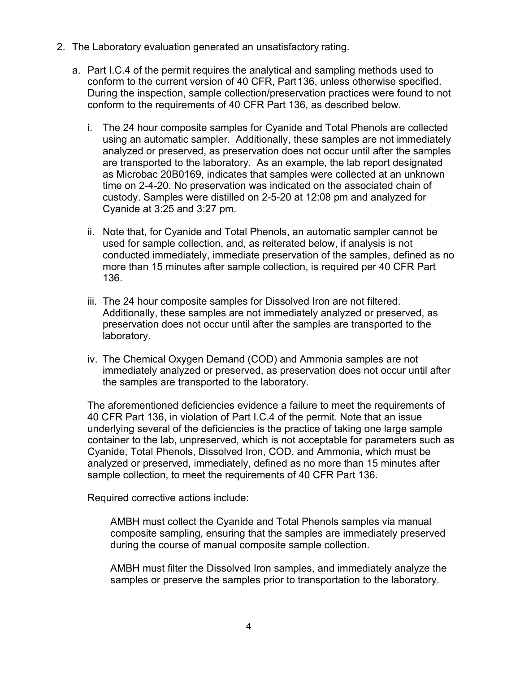- 2. The Laboratory evaluation generated an unsatisfactory rating.
	- a. Part I.C.4 of the permit requires the analytical and sampling methods used to conform to the current version of 40 CFR, Part 136, unless otherwise specified. During the inspection, sample collection/preservation practices were found to not conform to the requirements of 40 CFR Part 136, as described below.
		- i. The 24 hour composite samples for Cyanide and Total Phenols are collected using an automatic sampler. Additionally, these samples are not immediately analyzed or preserved, as preservation does not occur until after the samples are transported to the laboratory. As an example, the lab report designated as Microbac 20B0169, indicates that samples were collected at an unknown time on 2-4-20. No preservation was indicated on the associated chain of custody. Samples were distilled on 2-5-20 at 12:08 pm and analyzed for Cyanide at 3:25 and 3:27 pm.
		- ii. Note that, for Cyanide and Total Phenols, an automatic sampler cannot be used for sample collection, and, as reiterated below, if analysis is not conducted immediately, immediate preservation of the samples, defined as no more than 15 minutes after sample collection, is required per 40 CFR Part 136.
		- iii. The 24 hour composite samples for Dissolved Iron are not filtered. Additionally, these samples are not immediately analyzed or preserved, as preservation does not occur until after the samples are transported to the laboratory.
		- iv. The Chemical Oxygen Demand (COD) and Ammonia samples are not immediately analyzed or preserved, as preservation does not occur until after the samples are transported to the laboratory.

 The aforementioned deficiencies evidence a failure to meet the requirements of 40 CFR Part 136, in violation of Part I.C.4 of the permit. Note that an issue underlying several of the deficiencies is the practice of taking one large sample container to the lab, unpreserved, which is not acceptable for parameters such as Cyanide, Total Phenols, Dissolved Iron, COD, and Ammonia, which must be analyzed or preserved, immediately, defined as no more than 15 minutes after sample collection, to meet the requirements of 40 CFR Part 136.

Required corrective actions include:

AMBH must collect the Cyanide and Total Phenols samples via manual composite sampling, ensuring that the samples are immediately preserved during the course of manual composite sample collection.

AMBH must filter the Dissolved Iron samples, and immediately analyze the samples or preserve the samples prior to transportation to the laboratory.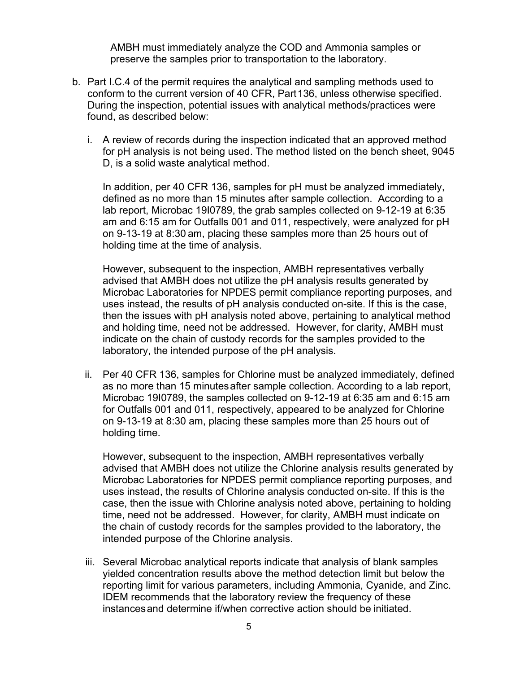AMBH must immediately analyze the COD and Ammonia samples or preserve the samples prior to transportation to the laboratory.

- b. Part I.C.4 of the permit requires the analytical and sampling methods used to conform to the current version of 40 CFR, Part 136, unless otherwise specified. During the inspection, potential issues with analytical methods/practices were found, as described below:
	- i. A review of records during the inspection indicated that an approved method for pH analysis is not being used. The method listed on the bench sheet, 9045 D, is a solid waste analytical method.

In addition, per 40 CFR 136, samples for pH must be analyzed immediately, defined as no more than 15 minutes after sample collection. According to a lab report, Microbac 19I0789, the grab samples collected on 9-12-19 at 6:35 am and 6:15 am for Outfalls 001 and 011, respectively, were analyzed for pH on 9-13-19 at 8:30 am, placing these samples more than 25 hours out of holding time at the time of analysis.

However, subsequent to the inspection, AMBH representatives verbally advised that AMBH does not utilize the pH analysis results generated by Microbac Laboratories for NPDES permit compliance reporting purposes, and uses instead, the results of pH analysis conducted on-site. If this is the case, then the issues with pH analysis noted above, pertaining to analytical method and holding time, need not be addressed. However, for clarity, AMBH must indicate on the chain of custody records for the samples provided to the laboratory, the intended purpose of the pH analysis.

ii. Per 40 CFR 136, samples for Chlorine must be analyzed immediately, defined as no more than 15 minutes after sample collection. According to a lab report, Microbac 19I0789, the samples collected on 9-12-19 at 6:35 am and 6:15 am for Outfalls 001 and 011, respectively, appeared to be analyzed for Chlorine on 9-13-19 at 8:30 am, placing these samples more than 25 hours out of holding time.

However, subsequent to the inspection, AMBH representatives verbally advised that AMBH does not utilize the Chlorine analysis results generated by Microbac Laboratories for NPDES permit compliance reporting purposes, and uses instead, the results of Chlorine analysis conducted on-site. If this is the case, then the issue with Chlorine analysis noted above, pertaining to holding time, need not be addressed. However, for clarity, AMBH must indicate on the chain of custody records for the samples provided to the laboratory, the intended purpose of the Chlorine analysis.

iii. Several Microbac analytical reports indicate that analysis of blank samples yielded concentration results above the method detection limit but below the reporting limit for various parameters, including Ammonia, Cyanide, and Zinc. IDEM recommends that the laboratory review the frequency of these instances and determine if/when corrective action should be initiated.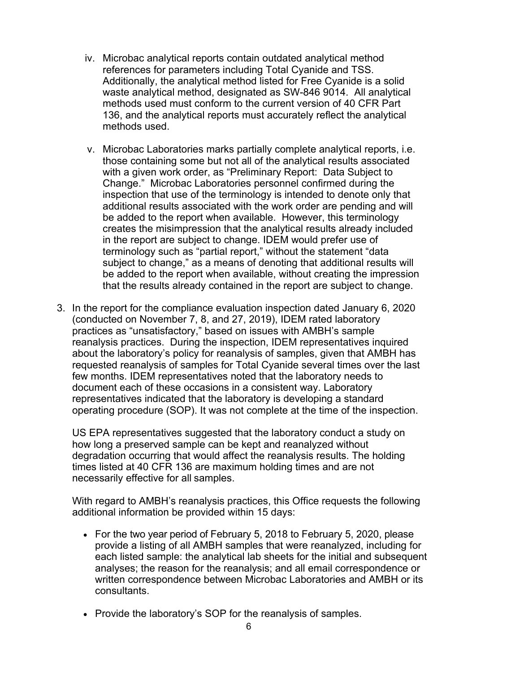- iv. Microbac analytical reports contain outdated analytical method references for parameters including Total Cyanide and TSS. Additionally, the analytical method listed for Free Cyanide is a solid waste analytical method, designated as SW-846 9014. All analytical methods used must conform to the current version of 40 CFR Part 136, and the analytical reports must accurately reflect the analytical methods used.
- v. Microbac Laboratories marks partially complete analytical reports, i.e. those containing some but not all of the analytical results associated with a given work order, as "Preliminary Report: Data Subject to Change." Microbac Laboratories personnel confirmed during the inspection that use of the terminology is intended to denote only that additional results associated with the work order are pending and will be added to the report when available. However, this terminology creates the misimpression that the analytical results already included in the report are subject to change. IDEM would prefer use of terminology such as "partial report," without the statement "data subject to change," as a means of denoting that additional results will be added to the report when available, without creating the impression that the results already contained in the report are subject to change.
- 3. In the report for the compliance evaluation inspection dated January 6, 2020 (conducted on November 7, 8, and 27, 2019), IDEM rated laboratory practices as "unsatisfactory," based on issues with AMBH's sample reanalysis practices. During the inspection, IDEM representatives inquired about the laboratory's policy for reanalysis of samples, given that AMBH has requested reanalysis of samples for Total Cyanide several times over the last few months. IDEM representatives noted that the laboratory needs to document each of these occasions in a consistent way. Laboratory representatives indicated that the laboratory is developing a standard operating procedure (SOP). It was not complete at the time of the inspection.

US EPA representatives suggested that the laboratory conduct a study on how long a preserved sample can be kept and reanalyzed without degradation occurring that would affect the reanalysis results. The holding times listed at 40 CFR 136 are maximum holding times and are not necessarily effective for all samples.

With regard to AMBH's reanalysis practices, this Office requests the following additional information be provided within 15 days:

- For the two year period of February 5, 2018 to February 5, 2020, please provide a listing of all AMBH samples that were reanalyzed, including for each listed sample: the analytical lab sheets for the initial and subsequent analyses; the reason for the reanalysis; and all email correspondence or written correspondence between Microbac Laboratories and AMBH or its consultants.
- Provide the laboratory's SOP for the reanalysis of samples.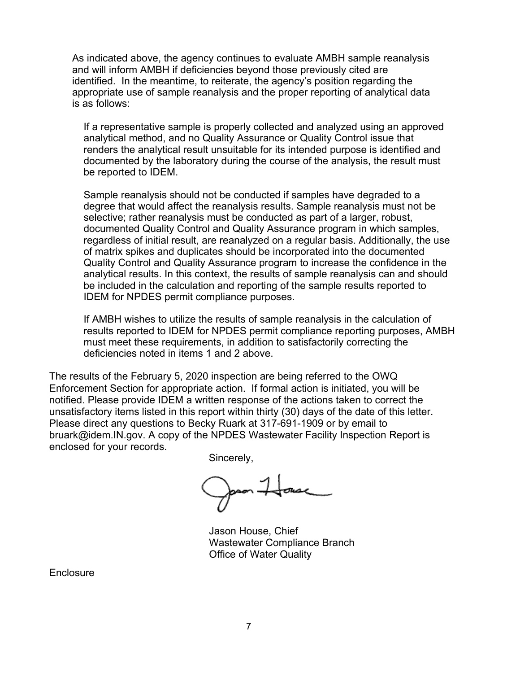As indicated above, the agency continues to evaluate AMBH sample reanalysis and will inform AMBH if deficiencies beyond those previously cited are identified. In the meantime, to reiterate, the agency's position regarding the appropriate use of sample reanalysis and the proper reporting of analytical data is as follows:

If a representative sample is properly collected and analyzed using an approved analytical method, and no Quality Assurance or Quality Control issue that renders the analytical result unsuitable for its intended purpose is identified and documented by the laboratory during the course of the analysis, the result must be reported to IDEM.

Sample reanalysis should not be conducted if samples have degraded to a degree that would affect the reanalysis results. Sample reanalysis must not be selective; rather reanalysis must be conducted as part of a larger, robust, documented Quality Control and Quality Assurance program in which samples, regardless of initial result, are reanalyzed on a regular basis. Additionally, the use of matrix spikes and duplicates should be incorporated into the documented Quality Control and Quality Assurance program to increase the confidence in the analytical results. In this context, the results of sample reanalysis can and should be included in the calculation and reporting of the sample results reported to IDEM for NPDES permit compliance purposes.

If AMBH wishes to utilize the results of sample reanalysis in the calculation of results reported to IDEM for NPDES permit compliance reporting purposes, AMBH must meet these requirements, in addition to satisfactorily correcting the deficiencies noted in items 1 and 2 above.

The results of the February 5, 2020 inspection are being referred to the OWQ Enforcement Section for appropriate action. If formal action is initiated, you will be notified. Please provide IDEM a written response of the actions taken to correct the unsatisfactory items listed in this report within thirty (30) days of the date of this letter. Please direct any questions to Becky Ruark at 317-691-1909 or by email to bruark@idem.IN.gov. A copy of the NPDES Wastewater Facility Inspection Report is enclosed for your records.

Sincerely,

Jason House, Chief Wastewater Compliance Branch Office of Water Quality

**Enclosure**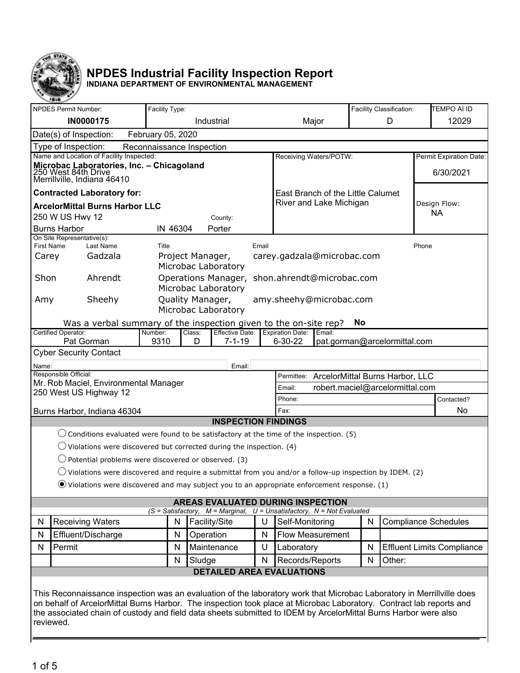

# **NPDES Industrial Facility Inspection Report**

**INDIANA DEPARTMENT OF ENVIRONMENTAL MANAGEMENT**

|                                                                                                                                                                                                                                                                                                                                                                              | $\sim$<br><b>NPDES Permit Number:</b>                                                           | Facility Type:<br>Facility Classification: |                                                                       |       |                                                                         | <b>TEMPO AI ID</b> |        |  |                                   |  |
|------------------------------------------------------------------------------------------------------------------------------------------------------------------------------------------------------------------------------------------------------------------------------------------------------------------------------------------------------------------------------|-------------------------------------------------------------------------------------------------|--------------------------------------------|-----------------------------------------------------------------------|-------|-------------------------------------------------------------------------|--------------------|--------|--|-----------------------------------|--|
|                                                                                                                                                                                                                                                                                                                                                                              | <b>IN0000175</b>                                                                                | Industrial<br>Major<br>D                   |                                                                       |       |                                                                         |                    | 12029  |  |                                   |  |
|                                                                                                                                                                                                                                                                                                                                                                              | Date(s) of Inspection:                                                                          | February 05, 2020                          |                                                                       |       |                                                                         |                    |        |  |                                   |  |
| Type of Inspection:<br>Reconnaissance Inspection                                                                                                                                                                                                                                                                                                                             |                                                                                                 |                                            |                                                                       |       |                                                                         |                    |        |  |                                   |  |
|                                                                                                                                                                                                                                                                                                                                                                              | Name and Location of Facility Inspected:                                                        |                                            |                                                                       |       | Receiving Waters/POTW:                                                  |                    |        |  | Permit Expiration Date:           |  |
|                                                                                                                                                                                                                                                                                                                                                                              | Microbac Laboratories, Inc. – Chicagoland<br>250 West 84th Drive<br>Merrillville, Indiana 46410 |                                            |                                                                       |       | 6/30/2021                                                               |                    |        |  |                                   |  |
|                                                                                                                                                                                                                                                                                                                                                                              | <b>Contracted Laboratory for:</b>                                                               |                                            |                                                                       |       | East Branch of the Little Calumet                                       |                    |        |  |                                   |  |
|                                                                                                                                                                                                                                                                                                                                                                              | <b>ArcelorMittal Burns Harbor LLC</b>                                                           |                                            |                                                                       |       | River and Lake Michigan                                                 |                    |        |  | Design Flow:                      |  |
|                                                                                                                                                                                                                                                                                                                                                                              | 250 W US Hwy 12                                                                                 |                                            | County:                                                               |       |                                                                         |                    |        |  | <b>NA</b>                         |  |
|                                                                                                                                                                                                                                                                                                                                                                              | <b>Burns Harbor</b>                                                                             | IN 46304                                   | Porter                                                                |       |                                                                         |                    |        |  |                                   |  |
| <b>First Name</b>                                                                                                                                                                                                                                                                                                                                                            | On Site Representative(s):<br>Last Name                                                         | Title                                      |                                                                       | Email |                                                                         |                    |        |  |                                   |  |
| Carey                                                                                                                                                                                                                                                                                                                                                                        | Gadzala                                                                                         |                                            |                                                                       |       | Phone                                                                   |                    |        |  |                                   |  |
|                                                                                                                                                                                                                                                                                                                                                                              |                                                                                                 |                                            | Project Manager,<br>carey.gadzala@microbac.com<br>Microbac Laboratory |       |                                                                         |                    |        |  |                                   |  |
|                                                                                                                                                                                                                                                                                                                                                                              | Ahrendt<br>Shon<br>Operations Manager, shon.ahrendt@microbac.com<br>Microbac Laboratory         |                                            |                                                                       |       |                                                                         |                    |        |  |                                   |  |
| Quality Manager,<br>Sheehy<br>amy.sheehy@microbac.com<br>Amy<br>Microbac Laboratory                                                                                                                                                                                                                                                                                          |                                                                                                 |                                            |                                                                       |       |                                                                         |                    |        |  |                                   |  |
|                                                                                                                                                                                                                                                                                                                                                                              |                                                                                                 |                                            |                                                                       |       |                                                                         | No                 |        |  |                                   |  |
| Was a verbal summary of the inspection given to the on-site rep?<br>Certified Operator:<br><b>Effective Date:</b><br>Expiration Date:<br>Number:<br>Class:<br>Email:<br>Pat Gorman<br>9310<br>$7 - 1 - 19$<br>6-30-22<br>D<br>pat.gorman@arcelormittal.com                                                                                                                   |                                                                                                 |                                            |                                                                       |       |                                                                         |                    |        |  |                                   |  |
|                                                                                                                                                                                                                                                                                                                                                                              | <b>Cyber Security Contact</b>                                                                   |                                            |                                                                       |       |                                                                         |                    |        |  |                                   |  |
| Name:                                                                                                                                                                                                                                                                                                                                                                        |                                                                                                 |                                            | Email:                                                                |       |                                                                         |                    |        |  |                                   |  |
|                                                                                                                                                                                                                                                                                                                                                                              | Responsible Official:                                                                           |                                            |                                                                       |       | Permittee: ArcelorMittal Burns Harbor, LLC                              |                    |        |  |                                   |  |
|                                                                                                                                                                                                                                                                                                                                                                              | Mr. Rob Maciel, Environmental Manager                                                           |                                            |                                                                       |       | robert.maciel@arcelormittal.com<br>Email:                               |                    |        |  |                                   |  |
| 250 West US Highway 12<br>Phone:                                                                                                                                                                                                                                                                                                                                             |                                                                                                 |                                            |                                                                       |       |                                                                         | Contacted?         |        |  |                                   |  |
|                                                                                                                                                                                                                                                                                                                                                                              | Fax:<br>Burns Harbor, Indiana 46304                                                             |                                            |                                                                       |       |                                                                         |                    | No     |  |                                   |  |
|                                                                                                                                                                                                                                                                                                                                                                              |                                                                                                 |                                            | <b>INSPECTION FINDINGS</b>                                            |       |                                                                         |                    |        |  |                                   |  |
| $\bigcirc$ Conditions evaluated were found to be satisfactory at the time of the inspection. (5)                                                                                                                                                                                                                                                                             |                                                                                                 |                                            |                                                                       |       |                                                                         |                    |        |  |                                   |  |
| $\bigcirc$ Violations were discovered but corrected during the inspection. (4)                                                                                                                                                                                                                                                                                               |                                                                                                 |                                            |                                                                       |       |                                                                         |                    |        |  |                                   |  |
| $\bigcirc$ Potential problems were discovered or observed. (3)                                                                                                                                                                                                                                                                                                               |                                                                                                 |                                            |                                                                       |       |                                                                         |                    |        |  |                                   |  |
| $\bigcirc$ Violations were discovered and require a submittal from you and/or a follow-up inspection by IDEM. (2)                                                                                                                                                                                                                                                            |                                                                                                 |                                            |                                                                       |       |                                                                         |                    |        |  |                                   |  |
| $\odot$ Violations were discovered and may subject you to an appropriate enforcement response. (1)                                                                                                                                                                                                                                                                           |                                                                                                 |                                            |                                                                       |       |                                                                         |                    |        |  |                                   |  |
| <b>AREAS EVALUATED DURING INSPECTION</b>                                                                                                                                                                                                                                                                                                                                     |                                                                                                 |                                            |                                                                       |       |                                                                         |                    |        |  |                                   |  |
|                                                                                                                                                                                                                                                                                                                                                                              |                                                                                                 |                                            |                                                                       |       | $(S = Satisfactory, M = Marginal, U = Unsatisfactory, N = Not Evaluate$ |                    |        |  |                                   |  |
| N                                                                                                                                                                                                                                                                                                                                                                            | <b>Receiving Waters</b>                                                                         | N                                          | Facility/Site                                                         | U     | Self-Monitoring                                                         | N                  |        |  | <b>Compliance Schedules</b>       |  |
| N                                                                                                                                                                                                                                                                                                                                                                            | Effluent/Discharge                                                                              | N                                          | Operation                                                             | N     | <b>Flow Measurement</b>                                                 |                    |        |  |                                   |  |
| N                                                                                                                                                                                                                                                                                                                                                                            | Permit                                                                                          | N                                          | Maintenance                                                           | U     | Laboratory                                                              | N                  |        |  | <b>Effluent Limits Compliance</b> |  |
|                                                                                                                                                                                                                                                                                                                                                                              |                                                                                                 | N                                          | Sludge                                                                | N     | Records/Reports                                                         | N                  | Other: |  |                                   |  |
| <b>DETAILED AREA EVALUATIONS</b>                                                                                                                                                                                                                                                                                                                                             |                                                                                                 |                                            |                                                                       |       |                                                                         |                    |        |  |                                   |  |
| This Reconnaissance inspection was an evaluation of the laboratory work that Microbac Laboratory in Merrillville does<br>on behalf of ArcelorMittal Burns Harbor. The inspection took place at Microbac Laboratory. Contract lab reports and<br>the associated chain of custody and field data sheets submitted to IDEM by ArcelorMittal Burns Harbor were also<br>reviewed. |                                                                                                 |                                            |                                                                       |       |                                                                         |                    |        |  |                                   |  |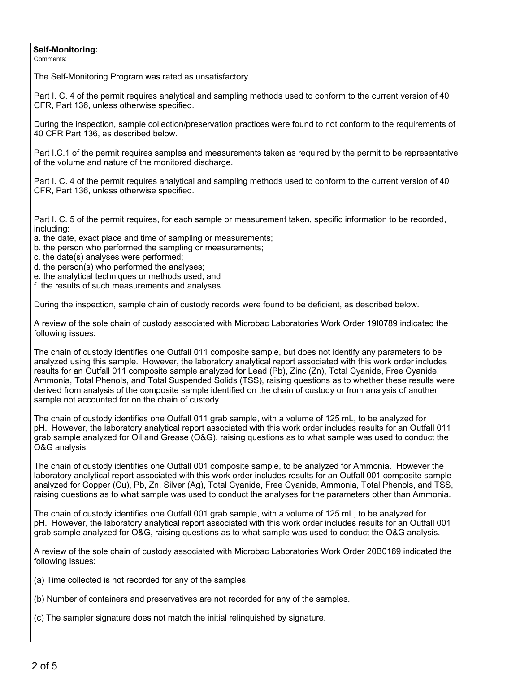## **Self-Monitoring:**

Comments:

The Self-Monitoring Program was rated as unsatisfactory.

Part I. C. 4 of the permit requires analytical and sampling methods used to conform to the current version of 40 CFR, Part 136, unless otherwise specified.

During the inspection, sample collection/preservation practices were found to not conform to the requirements of 40 CFR Part 136, as described below.

Part I.C.1 of the permit requires samples and measurements taken as required by the permit to be representative of the volume and nature of the monitored discharge.

Part I. C. 4 of the permit requires analytical and sampling methods used to conform to the current version of 40 CFR, Part 136, unless otherwise specified.

Part I. C. 5 of the permit requires, for each sample or measurement taken, specific information to be recorded, including:

a. the date, exact place and time of sampling or measurements;

- b. the person who performed the sampling or measurements;
- c. the date(s) analyses were performed;
- d. the person(s) who performed the analyses;
- e. the analytical techniques or methods used; and
- f. the results of such measurements and analyses.

During the inspection, sample chain of custody records were found to be deficient, as described below.

A review of the sole chain of custody associated with Microbac Laboratories Work Order 19I0789 indicated the following issues:

The chain of custody identifies one Outfall 011 composite sample, but does not identify any parameters to be analyzed using this sample. However, the laboratory analytical report associated with this work order includes results for an Outfall 011 composite sample analyzed for Lead (Pb), Zinc (Zn), Total Cyanide, Free Cyanide, Ammonia, Total Phenols, and Total Suspended Solids (TSS), raising questions as to whether these results were derived from analysis of the composite sample identified on the chain of custody or from analysis of another sample not accounted for on the chain of custody.

The chain of custody identifies one Outfall 011 grab sample, with a volume of 125 mL, to be analyzed for pH. However, the laboratory analytical report associated with this work order includes results for an Outfall 011 grab sample analyzed for Oil and Grease (O&G), raising questions as to what sample was used to conduct the O&G analysis.

The chain of custody identifies one Outfall 001 composite sample, to be analyzed for Ammonia. However the laboratory analytical report associated with this work order includes results for an Outfall 001 composite sample analyzed for Copper (Cu), Pb, Zn, Silver (Ag), Total Cyanide, Free Cyanide, Ammonia, Total Phenols, and TSS, raising questions as to what sample was used to conduct the analyses for the parameters other than Ammonia.

The chain of custody identifies one Outfall 001 grab sample, with a volume of 125 mL, to be analyzed for pH. However, the laboratory analytical report associated with this work order includes results for an Outfall 001 grab sample analyzed for O&G, raising questions as to what sample was used to conduct the O&G analysis.

A review of the sole chain of custody associated with Microbac Laboratories Work Order 20B0169 indicated the following issues:

(a) Time collected is not recorded for any of the samples.

(b) Number of containers and preservatives are not recorded for any of the samples.

(c) The sampler signature does not match the initial relinquished by signature.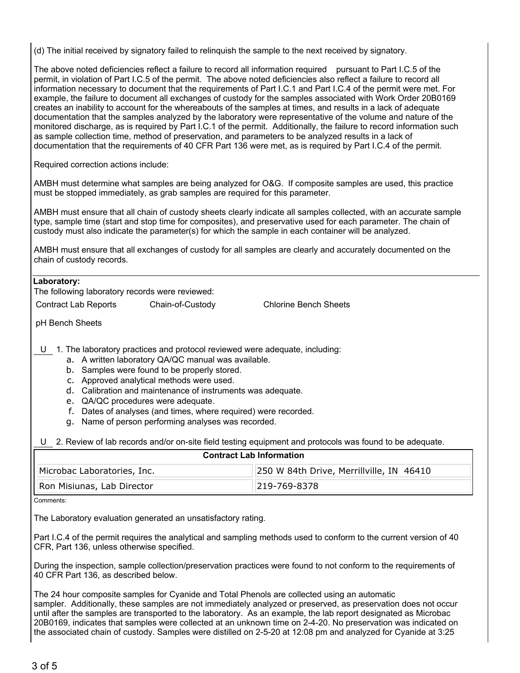(d) The initial received by signatory failed to relinquish the sample to the next received by signatory.

The above noted deficiencies reflect a failure to record all information required pursuant to Part I.C.5 of the permit, in violation of Part I.C.5 of the permit. The above noted deficiencies also reflect a failure to record all information necessary to document that the requirements of Part I.C.1 and Part I.C.4 of the permit were met. For example, the failure to document all exchanges of custody for the samples associated with Work Order 20B0169 creates an inability to account for the whereabouts of the samples at times, and results in a lack of adequate documentation that the samples analyzed by the laboratory were representative of the volume and nature of the monitored discharge, as is required by Part I.C.1 of the permit. Additionally, the failure to record information such as sample collection time, method of preservation, and parameters to be analyzed results in a lack of documentation that the requirements of 40 CFR Part 136 were met, as is required by Part I.C.4 of the permit.

Required correction actions include:

AMBH must determine what samples are being analyzed for O&G. If composite samples are used, this practice must be stopped immediately, as grab samples are required for this parameter.

AMBH must ensure that all chain of custody sheets clearly indicate all samples collected, with an accurate sample type, sample time (start and stop time for composites), and preservative used for each parameter. The chain of custody must also indicate the parameter(s) for which the sample in each container will be analyzed.

AMBH must ensure that all exchanges of custody for all samples are clearly and accurately documented on the chain of custody records.

### **Laboratory:**

The following laboratory records were reviewed:

Contract Lab Reports Chain-of-Custody Chlorine Bench Sheets

pH Bench Sheets

- U 1. The laboratory practices and protocol reviewed were adequate, including:
	- a. A written laboratory QA/QC manual was available.
	- b. Samples were found to be properly stored.
	- c. Approved analytical methods were used.
	- d. Calibration and maintenance of instruments was adequate.
	- e. QA/QC procedures were adequate.
	- f. Dates of analyses (and times, where required) were recorded.
	- g. Name of person performing analyses was recorded.

U 2. Review of lab records and/or on-site field testing equipment and protocols was found to be adequate.

| <b>Contract Lab Information</b> |                                          |  |  |  |
|---------------------------------|------------------------------------------|--|--|--|
| Microbac Laboratories, Inc.     | 250 W 84th Drive, Merrillville, IN 46410 |  |  |  |
| Ron Misiunas, Lab Director      | 219-769-8378"                            |  |  |  |

Comments:

The Laboratory evaluation generated an unsatisfactory rating.

Part I.C.4 of the permit requires the analytical and sampling methods used to conform to the current version of 40 CFR, Part 136, unless otherwise specified.

During the inspection, sample collection/preservation practices were found to not conform to the requirements of 40 CFR Part 136, as described below.

The 24 hour composite samples for Cyanide and Total Phenols are collected using an automatic sampler. Additionally, these samples are not immediately analyzed or preserved, as preservation does not occur until after the samples are transported to the laboratory. As an example, the lab report designated as Microbac 20B0169, indicates that samples were collected at an unknown time on 2-4-20. No preservation was indicated on the associated chain of custody. Samples were distilled on 2-5-20 at 12:08 pm and analyzed for Cyanide at 3:25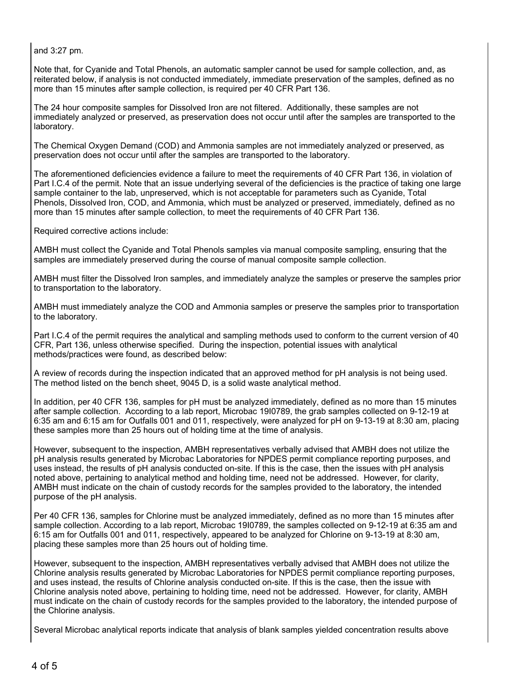and 3:27 pm.

Note that, for Cyanide and Total Phenols, an automatic sampler cannot be used for sample collection, and, as reiterated below, if analysis is not conducted immediately, immediate preservation of the samples, defined as no more than 15 minutes after sample collection, is required per 40 CFR Part 136.

The 24 hour composite samples for Dissolved Iron are not filtered. Additionally, these samples are not immediately analyzed or preserved, as preservation does not occur until after the samples are transported to the laboratory.

The Chemical Oxygen Demand (COD) and Ammonia samples are not immediately analyzed or preserved, as preservation does not occur until after the samples are transported to the laboratory.

The aforementioned deficiencies evidence a failure to meet the requirements of 40 CFR Part 136, in violation of Part I.C.4 of the permit. Note that an issue underlying several of the deficiencies is the practice of taking one large sample container to the lab, unpreserved, which is not acceptable for parameters such as Cyanide, Total Phenols, Dissolved Iron, COD, and Ammonia, which must be analyzed or preserved, immediately, defined as no more than 15 minutes after sample collection, to meet the requirements of 40 CFR Part 136.

Required corrective actions include:

AMBH must collect the Cyanide and Total Phenols samples via manual composite sampling, ensuring that the samples are immediately preserved during the course of manual composite sample collection.

AMBH must filter the Dissolved Iron samples, and immediately analyze the samples or preserve the samples prior to transportation to the laboratory.

AMBH must immediately analyze the COD and Ammonia samples or preserve the samples prior to transportation to the laboratory.

Part I.C.4 of the permit requires the analytical and sampling methods used to conform to the current version of 40 CFR, Part 136, unless otherwise specified. During the inspection, potential issues with analytical methods/practices were found, as described below:

A review of records during the inspection indicated that an approved method for pH analysis is not being used. The method listed on the bench sheet, 9045 D, is a solid waste analytical method.

In addition, per 40 CFR 136, samples for pH must be analyzed immediately, defined as no more than 15 minutes after sample collection. According to a lab report, Microbac 19I0789, the grab samples collected on 9-12-19 at 6:35 am and 6:15 am for Outfalls 001 and 011, respectively, were analyzed for pH on 9-13-19 at 8:30 am, placing these samples more than 25 hours out of holding time at the time of analysis.

However, subsequent to the inspection, AMBH representatives verbally advised that AMBH does not utilize the pH analysis results generated by Microbac Laboratories for NPDES permit compliance reporting purposes, and uses instead, the results of pH analysis conducted on-site. If this is the case, then the issues with pH analysis noted above, pertaining to analytical method and holding time, need not be addressed. However, for clarity, AMBH must indicate on the chain of custody records for the samples provided to the laboratory, the intended purpose of the pH analysis.

Per 40 CFR 136, samples for Chlorine must be analyzed immediately, defined as no more than 15 minutes after sample collection. According to a lab report, Microbac 19I0789, the samples collected on 9-12-19 at 6:35 am and 6:15 am for Outfalls 001 and 011, respectively, appeared to be analyzed for Chlorine on 9-13-19 at 8:30 am, placing these samples more than 25 hours out of holding time.

However, subsequent to the inspection, AMBH representatives verbally advised that AMBH does not utilize the Chlorine analysis results generated by Microbac Laboratories for NPDES permit compliance reporting purposes, and uses instead, the results of Chlorine analysis conducted on-site. If this is the case, then the issue with Chlorine analysis noted above, pertaining to holding time, need not be addressed. However, for clarity, AMBH must indicate on the chain of custody records for the samples provided to the laboratory, the intended purpose of the Chlorine analysis.

Several Microbac analytical reports indicate that analysis of blank samples yielded concentration results above